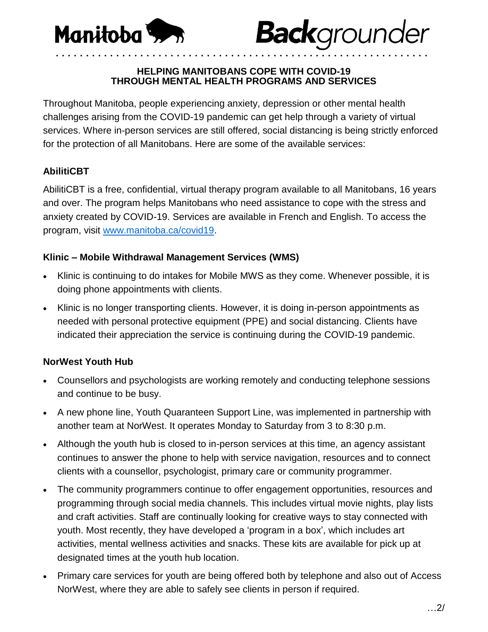

#### **HELPING MANITOBANS COPE WITH COVID-19 THROUGH MENTAL HEALTH PROGRAMS AND SERVICES**

**Back**grounder

• • • • • • • • • • • • • • • • • • • • • • • • • • • • • • • • • • • • • • • • • • • • • • • • • • • • • • • • • • • • • •

Throughout Manitoba, people experiencing anxiety, depression or other mental health challenges arising from the COVID-19 pandemic can get help through a variety of virtual services. Where in-person services are still offered, social distancing is being strictly enforced for the protection of all Manitobans. Here are some of the available services:

## **AbilitiCBT**

AbilitiCBT is a free, confidential, virtual therapy program available to all Manitobans, 16 years and over. The program helps Manitobans who need assistance to cope with the stress and anxiety created by COVID-19. Services are available in French and English. To access the program, visit [www.manitoba.ca/covid19.](https://www.manitoba.ca/covid19)

### **Klinic – Mobile Withdrawal Management Services (WMS)**

- Klinic is continuing to do intakes for Mobile MWS as they come. Whenever possible, it is doing phone appointments with clients.
- Klinic is no longer transporting clients. However, it is doing in-person appointments as needed with personal protective equipment (PPE) and social distancing. Clients have indicated their appreciation the service is continuing during the COVID-19 pandemic.

## **NorWest Youth Hub**

- Counsellors and psychologists are working remotely and conducting telephone sessions and continue to be busy.
- A new phone line, Youth Quaranteen Support Line, was implemented in partnership with another team at NorWest. It operates Monday to Saturday from 3 to 8:30 p.m.
- Although the youth hub is closed to in-person services at this time, an agency assistant continues to answer the phone to help with service navigation, resources and to connect clients with a counsellor, psychologist, primary care or community programmer.
- The community programmers continue to offer engagement opportunities, resources and programming through social media channels. This includes virtual movie nights, play lists and craft activities. Staff are continually looking for creative ways to stay connected with youth. Most recently, they have developed a 'program in a box', which includes art activities, mental wellness activities and snacks. These kits are available for pick up at designated times at the youth hub location.
- Primary care services for youth are being offered both by telephone and also out of Access NorWest, where they are able to safely see clients in person if required.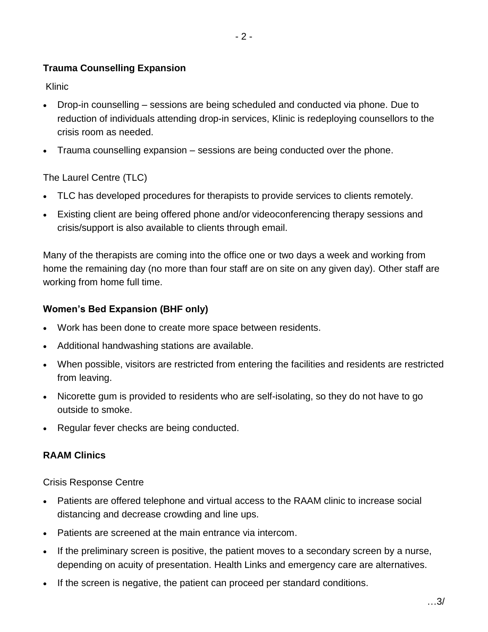# **Trauma Counselling Expansion**

Klinic

- Drop-in counselling sessions are being scheduled and conducted via phone. Due to reduction of individuals attending drop-in services, Klinic is redeploying counsellors to the crisis room as needed.
- Trauma counselling expansion sessions are being conducted over the phone.

### The Laurel Centre (TLC)

- TLC has developed procedures for therapists to provide services to clients remotely.
- Existing client are being offered phone and/or videoconferencing therapy sessions and crisis/support is also available to clients through email.

Many of the therapists are coming into the office one or two days a week and working from home the remaining day (no more than four staff are on site on any given day). Other staff are working from home full time.

### **Women's Bed Expansion (BHF only)**

- Work has been done to create more space between residents.
- Additional handwashing stations are available.
- When possible, visitors are restricted from entering the facilities and residents are restricted from leaving.
- Nicorette gum is provided to residents who are self-isolating, so they do not have to go outside to smoke.
- Regular fever checks are being conducted.

#### **RAAM Clinics**

Crisis Response Centre

- Patients are offered telephone and virtual access to the RAAM clinic to increase social distancing and decrease crowding and line ups.
- Patients are screened at the main entrance via intercom.
- If the preliminary screen is positive, the patient moves to a secondary screen by a nurse, depending on acuity of presentation. Health Links and emergency care are alternatives.
- If the screen is negative, the patient can proceed per standard conditions.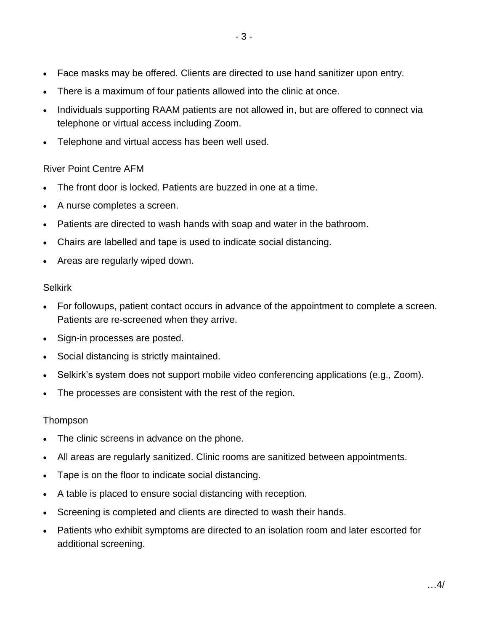- Face masks may be offered. Clients are directed to use hand sanitizer upon entry.
- There is a maximum of four patients allowed into the clinic at once.
- Individuals supporting RAAM patients are not allowed in, but are offered to connect via telephone or virtual access including Zoom.
- Telephone and virtual access has been well used.

## River Point Centre AFM

- The front door is locked. Patients are buzzed in one at a time.
- A nurse completes a screen.
- Patients are directed to wash hands with soap and water in the bathroom.
- Chairs are labelled and tape is used to indicate social distancing.
- Areas are regularly wiped down.

#### Selkirk

- For followups, patient contact occurs in advance of the appointment to complete a screen. Patients are re-screened when they arrive.
- Sign-in processes are posted.
- Social distancing is strictly maintained.
- Selkirk's system does not support mobile video conferencing applications (e.g., Zoom).
- The processes are consistent with the rest of the region.

## Thompson

- The clinic screens in advance on the phone.
- All areas are regularly sanitized. Clinic rooms are sanitized between appointments.
- Tape is on the floor to indicate social distancing.
- A table is placed to ensure social distancing with reception.
- Screening is completed and clients are directed to wash their hands.
- Patients who exhibit symptoms are directed to an isolation room and later escorted for additional screening.